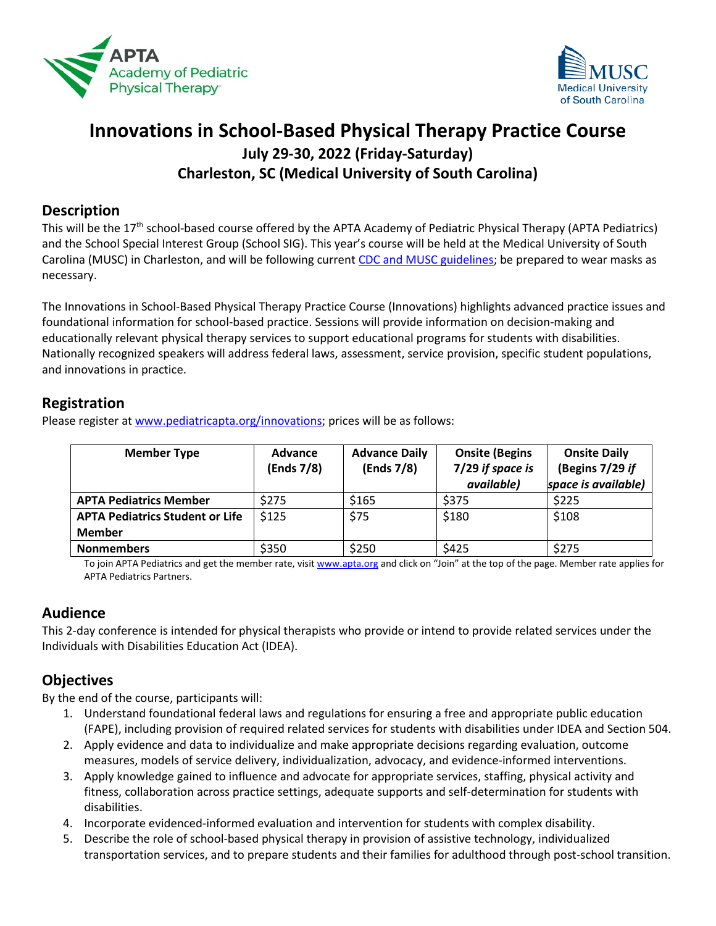



# **Innovations in School-Based Physical Therapy Practice Course July 29-30, 2022 (Friday-Saturday) Charleston, SC (Medical University of South Carolina)**

## **Description**

This will be the 17<sup>th</sup> school-based course offered by the APTA Academy of Pediatric Physical Therapy (APTA Pediatrics) and the School Special Interest Group (School SIG). This year's course will be held at the Medical University of South Carolina (MUSC) in Charleston, and will be following curren[t CDC and MUSC guidelines;](https://www.cdc.gov/coronavirus/2019-ncov/downloads/community/COVID19-events-gatherings-readiness-and-planning-tool.pdf) be prepared to wear masks as necessary.

The Innovations in School-Based Physical Therapy Practice Course (Innovations) highlights advanced practice issues and foundational information for school-based practice. Sessions will provide information on decision-making and educationally relevant physical therapy services to support educational programs for students with disabilities. Nationally recognized speakers will address federal laws, assessment, service provision, specific student populations, and innovations in practice.

## **Registration**

Please register a[t www.pediatricapta.org/innovations;](http://www.pediatricapta.org/innovations) prices will be as follows:

| <b>Member Type</b>                                      | Advance<br>(Ends 7/8) | <b>Advance Daily</b><br>(Ends 7/8) | <b>Onsite (Begins</b><br>7/29 if space is<br>available) | <b>Onsite Daily</b><br>(Begins 7/29 if<br>space is available) |
|---------------------------------------------------------|-----------------------|------------------------------------|---------------------------------------------------------|---------------------------------------------------------------|
| <b>APTA Pediatrics Member</b>                           | \$275                 | \$165                              | \$375                                                   | \$225                                                         |
| <b>APTA Pediatrics Student or Life</b><br><b>Member</b> | \$125                 | \$75                               | \$180                                                   | \$108                                                         |
| <b>Nonmembers</b>                                       | \$350                 | \$250                              | \$425                                                   | \$275                                                         |

To join APTA Pediatrics and get the member rate, visi[t www.apta.org](http://www.apta.org/) and click on "Join" at the top of the page. Member rate applies for APTA Pediatrics Partners.

## **Audience**

This 2-day conference is intended for physical therapists who provide or intend to provide related services under the Individuals with Disabilities Education Act (IDEA).

## **Objectives**

By the end of the course, participants will:

- 1. Understand foundational federal laws and regulations for ensuring a free and appropriate public education (FAPE), including provision of required related services for students with disabilities under IDEA and Section 504.
- 2. Apply evidence and data to individualize and make appropriate decisions regarding evaluation, outcome measures, models of service delivery, individualization, advocacy, and evidence-informed interventions.
- 3. Apply knowledge gained to influence and advocate for appropriate services, staffing, physical activity and fitness, collaboration across practice settings, adequate supports and self-determination for students with disabilities.
- 4. Incorporate evidenced-informed evaluation and intervention for students with complex disability.
- 5. Describe the role of school-based physical therapy in provision of assistive technology, individualized transportation services, and to prepare students and their families for adulthood through post-school transition.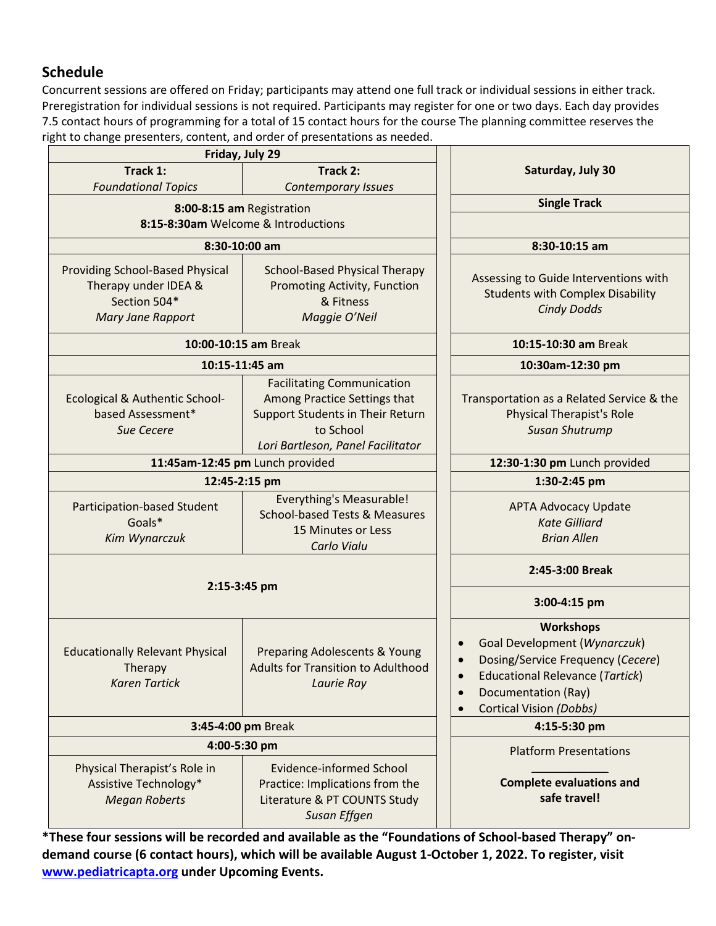# **Schedule**

Concurrent sessions are offered on Friday; participants may attend one full track or individual sessions in either track. Preregistration for individual sessions is not required. Participants may register for one or two days. Each day provides 7.5 contact hours of programming for a total of 15 contact hours for the course The planning committee reserves the right to change presenters, content, and order of presentations as needed.

| Friday, July 29                                                                                            |                                                                                                                                                         |                                                                                                                                                                                          |
|------------------------------------------------------------------------------------------------------------|---------------------------------------------------------------------------------------------------------------------------------------------------------|------------------------------------------------------------------------------------------------------------------------------------------------------------------------------------------|
| Track 1:                                                                                                   | Track 2:                                                                                                                                                | Saturday, July 30                                                                                                                                                                        |
| <b>Foundational Topics</b>                                                                                 | <b>Contemporary Issues</b>                                                                                                                              |                                                                                                                                                                                          |
| 8:00-8:15 am Registration                                                                                  |                                                                                                                                                         | <b>Single Track</b>                                                                                                                                                                      |
| 8:15-8:30am Welcome & Introductions                                                                        |                                                                                                                                                         |                                                                                                                                                                                          |
| 8:30-10:00 am                                                                                              |                                                                                                                                                         | 8:30-10:15 am                                                                                                                                                                            |
| <b>Providing School-Based Physical</b><br>Therapy under IDEA &<br>Section 504*<br><b>Mary Jane Rapport</b> | <b>School-Based Physical Therapy</b><br><b>Promoting Activity, Function</b><br>& Fitness<br>Maggie O'Neil                                               | Assessing to Guide Interventions with<br><b>Students with Complex Disability</b><br><b>Cindy Dodds</b>                                                                                   |
| 10:00-10:15 am Break                                                                                       | 10:15-10:30 am Break                                                                                                                                    |                                                                                                                                                                                          |
| 10:15-11:45 am                                                                                             |                                                                                                                                                         | 10:30am-12:30 pm                                                                                                                                                                         |
| <b>Ecological &amp; Authentic School-</b><br>based Assessment*<br><b>Sue Cecere</b>                        | <b>Facilitating Communication</b><br>Among Practice Settings that<br>Support Students in Their Return<br>to School<br>Lori Bartleson, Panel Facilitator | Transportation as a Related Service & the<br><b>Physical Therapist's Role</b><br><b>Susan Shutrump</b>                                                                                   |
| 11:45am-12:45 pm Lunch provided                                                                            |                                                                                                                                                         | 12:30-1:30 pm Lunch provided                                                                                                                                                             |
|                                                                                                            | 12:45-2:15 pm                                                                                                                                           | 1:30-2:45 pm                                                                                                                                                                             |
| Participation-based Student<br>Goals*<br>Kim Wynarczuk                                                     | <b>Everything's Measurable!</b><br><b>School-based Tests &amp; Measures</b><br>15 Minutes or Less<br>Carlo Vialu                                        | <b>APTA Advocacy Update</b><br><b>Kate Gilliard</b><br><b>Brian Allen</b>                                                                                                                |
|                                                                                                            | 2:45-3:00 Break                                                                                                                                         |                                                                                                                                                                                          |
| 2:15-3:45 pm                                                                                               |                                                                                                                                                         | 3:00-4:15 pm                                                                                                                                                                             |
| <b>Educationally Relevant Physical</b><br>Therapy<br><b>Karen Tartick</b>                                  | Preparing Adolescents & Young<br><b>Adults for Transition to Adulthood</b><br>Laurie Ray                                                                | <b>Workshops</b><br>Goal Development (Wynarczuk)<br>Dosing/Service Frequency (Cecere)<br><b>Educational Relevance (Tartick)</b><br>Documentation (Ray)<br><b>Cortical Vision (Dobbs)</b> |
| 3:45-4:00 pm Break                                                                                         |                                                                                                                                                         | 4:15-5:30 pm                                                                                                                                                                             |
| 4:00-5:30 pm                                                                                               |                                                                                                                                                         | <b>Platform Presentations</b>                                                                                                                                                            |
| Physical Therapist's Role in<br>Assistive Technology*<br><b>Megan Roberts</b>                              | <b>Evidence-informed School</b><br>Practice: Implications from the<br>Literature & PT COUNTS Study<br>Susan Effgen                                      | <b>Complete evaluations and</b><br>safe travel!                                                                                                                                          |

**\*These four sessions will be recorded and available as the "Foundations of School-based Therapy" ondemand course (6 contact hours), which will be available August 1-October 1, 2022. To register, visit [www.pediatricapta.org](http://www.pediatricapta.org/) under Upcoming Events.**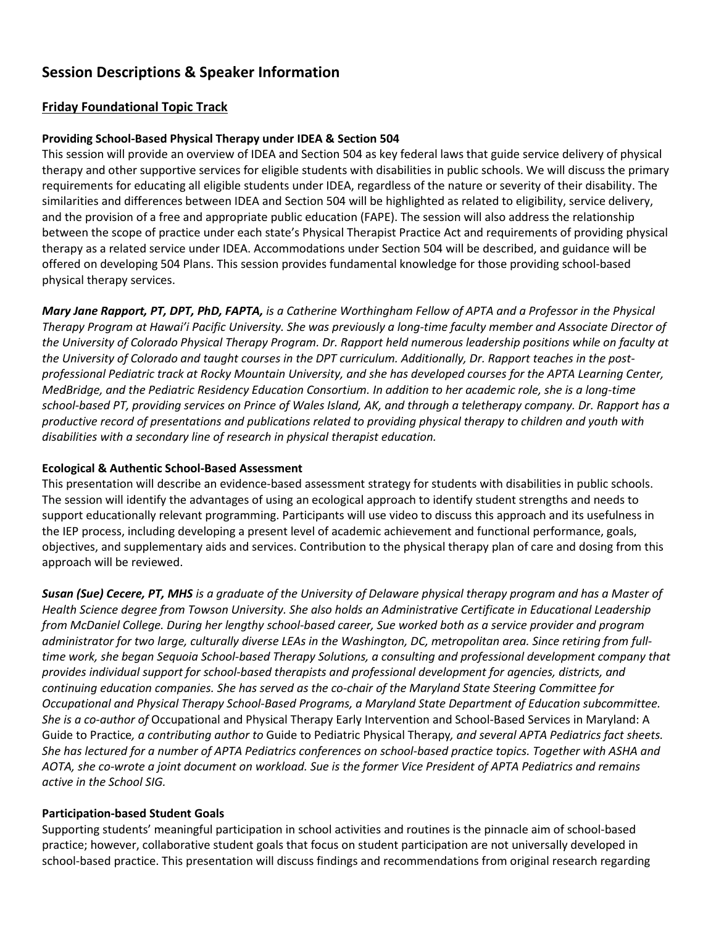## **Session Descriptions & Speaker Information**

## **Friday Foundational Topic Track**

## **Providing School-Based Physical Therapy under IDEA & Section 504**

This session will provide an overview of IDEA and Section 504 as key federal laws that guide service delivery of physical therapy and other supportive services for eligible students with disabilities in public schools. We will discuss the primary requirements for educating all eligible students under IDEA, regardless of the nature or severity of their disability. The similarities and differences between IDEA and Section 504 will be highlighted as related to eligibility, service delivery, and the provision of a free and appropriate public education (FAPE). The session will also address the relationship between the scope of practice under each state's Physical Therapist Practice Act and requirements of providing physical therapy as a related service under IDEA. Accommodations under Section 504 will be described, and guidance will be offered on developing 504 Plans. This session provides fundamental knowledge for those providing school-based physical therapy services.

**Mary Jane Rapport, PT, DPT, PhD, FAPTA,** is a Catherine Worthingham Fellow of APTA and a Professor in the Physical *Therapy Program at Hawai'i Pacific University. She was previously a long-time faculty member and Associate Director of* the University of Colorado Physical Therapy Program. Dr. Rapport held numerous leadership positions while on faculty at the University of Colorado and taught courses in the DPT curriculum. Additionally, Dr. Rapport teaches in the postprofessional Pediatric track at Rocky Mountain University, and she has developed courses for the APTA Learning Center, *MedBridge, and the Pediatric Residency Education Consortium. In addition to her academic role, she is a long-time* school-based PT, providing services on Prince of Wales Island, AK, and through a teletherapy company. Dr. Rapport has a productive record of presentations and publications related to providing physical therapy to children and youth with *disabilities with a secondary line of research in physical therapist education.*

#### **Ecological & Authentic School-Based Assessment**

This presentation will describe an evidence-based assessment strategy for students with disabilities in public schools. The session will identify the advantages of using an ecological approach to identify student strengths and needs to support educationally relevant programming. Participants will use video to discuss this approach and its usefulness in the IEP process, including developing a present level of academic achievement and functional performance, goals, objectives, and supplementary aids and services. Contribution to the physical therapy plan of care and dosing from this approach will be reviewed.

Susan (Sue) Cecere, PT, MHS is a graduate of the University of Delaware physical therapy program and has a Master of *Health Science degree from Towson University. She also holds an Administrative Certificate in Educational Leadership from McDaniel College. During her lengthy school-based career, Sue worked both as a service provider and program* administrator for two large, culturally diverse LEAs in the Washington, DC, metropolitan area. Since retiring from full*time work, she began Sequoia School-based Therapy Solutions, a consulting and professional development company that provides individual support for school-based therapists and professional development for agencies, districts, and continuing education companies. She has served as the co-chair of the Maryland State Steering Committee for Occupational and Physical Therapy School-Based Programs, a Maryland State Department of Education subcommittee. She is a co-author of* Occupational and Physical Therapy Early Intervention and School-Based Services in Maryland: A Guide to Practice*, a contributing author to* Guide to Pediatric Physical Therapy*, and several APTA Pediatrics fact sheets.* She has lectured for a number of APTA Pediatrics conferences on school-based practice topics. Together with ASHA and *AOTA, she co-wrote a joint document on workload. Sue is the former Vice President of APTA Pediatrics and remains active in the School SIG.*

#### **Participation-based Student Goals**

Supporting students' meaningful participation in school activities and routines is the pinnacle aim of school-based practice; however, collaborative student goals that focus on student participation are not universally developed in school-based practice. This presentation will discuss findings and recommendations from original research regarding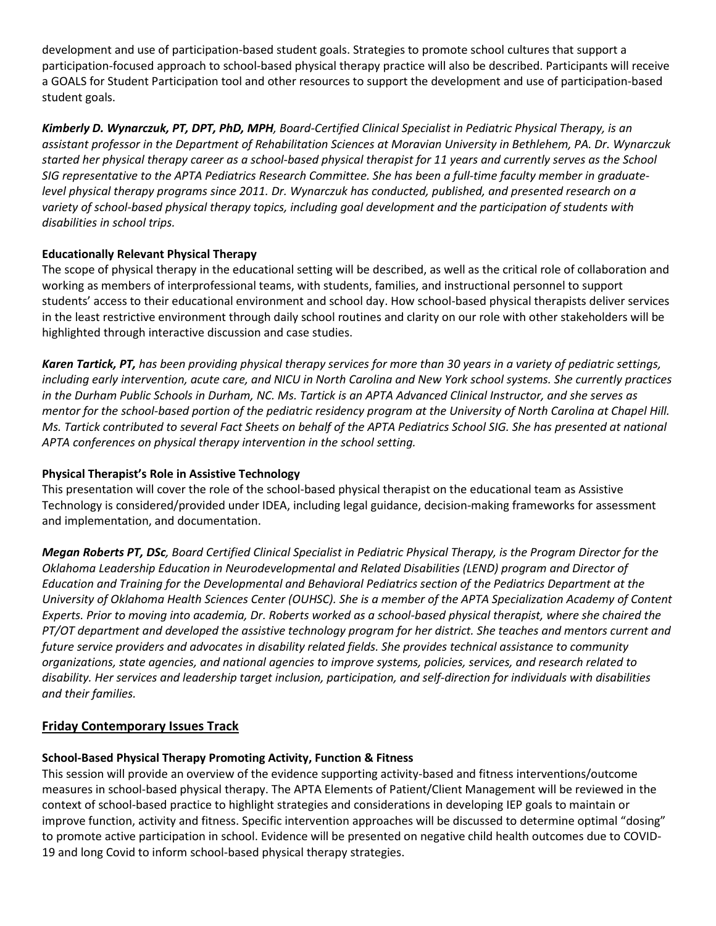development and use of participation-based student goals. Strategies to promote school cultures that support a participation-focused approach to school-based physical therapy practice will also be described. Participants will receive a GOALS for Student Participation tool and other resources to support the development and use of participation-based student goals.

*Kimberly D. Wynarczuk, PT, DPT, PhD, MPH, Board-Certified Clinical Specialist in Pediatric Physical Therapy, is an assistant professor in the Department of Rehabilitation Sciences at Moravian University in Bethlehem, PA. Dr. Wynarczuk started her physical therapy career as a school-based physical therapist for 11 years and currently serves as the School SIG representative to the APTA Pediatrics Research Committee. She has been a full-time faculty member in graduatelevel physical therapy programs since 2011. Dr. Wynarczuk has conducted, published, and presented research on a variety of school-based physical therapy topics, including goal development and the participation of students with disabilities in school trips.*

## **Educationally Relevant Physical Therapy**

The scope of physical therapy in the educational setting will be described, as well as the critical role of collaboration and working as members of interprofessional teams, with students, families, and instructional personnel to support students' access to their educational environment and school day. How school-based physical therapists deliver services in the least restrictive environment through daily school routines and clarity on our role with other stakeholders will be highlighted through interactive discussion and case studies.

*Karen Tartick, PT, has been providing physical therapy services for more than 30 years in a variety of pediatric settings, including early intervention, acute care, and NICU in North Carolina and New York school systems. She currently practices in the Durham Public Schools in Durham, NC. Ms. Tartick is an APTA Advanced Clinical Instructor, and she serves as mentor for the school-based portion of the pediatric residency program at the University of North Carolina at Chapel Hill. Ms. Tartick contributed to several Fact Sheets on behalf of the APTA Pediatrics School SIG. She has presented at national APTA conferences on physical therapy intervention in the school setting.* 

## **Physical Therapist's Role in Assistive Technology**

This presentation will cover the role of the school-based physical therapist on the educational team as Assistive Technology is considered/provided under IDEA, including legal guidance, decision-making frameworks for assessment and implementation, and documentation.

*Megan Roberts PT, DSc, Board Certified Clinical Specialist in Pediatric Physical Therapy, is the Program Director for the Oklahoma Leadership Education in Neurodevelopmental and Related Disabilities (LEND) program and Director of Education and Training for the Developmental and Behavioral Pediatrics section of the Pediatrics Department at the University of Oklahoma Health Sciences Center (OUHSC). She is a member of the APTA Specialization Academy of Content Experts. Prior to moving into academia, Dr. Roberts worked as a school-based physical therapist, where she chaired the PT/OT department and developed the assistive technology program for her district. She teaches and mentors current and future service providers and advocates in disability related fields. She provides technical assistance to community organizations, state agencies, and national agencies to improve systems, policies, services, and research related to disability. Her services and leadership target inclusion, participation, and self-direction for individuals with disabilities and their families.* 

## **Friday Contemporary Issues Track**

## **School-Based Physical Therapy Promoting Activity, Function & Fitness**

This session will provide an overview of the evidence supporting activity-based and fitness interventions/outcome measures in school-based physical therapy. The APTA Elements of Patient/Client Management will be reviewed in the context of school-based practice to highlight strategies and considerations in developing IEP goals to maintain or improve function, activity and fitness. Specific intervention approaches will be discussed to determine optimal "dosing" to promote active participation in school. Evidence will be presented on negative child health outcomes due to COVID-19 and long Covid to inform school-based physical therapy strategies.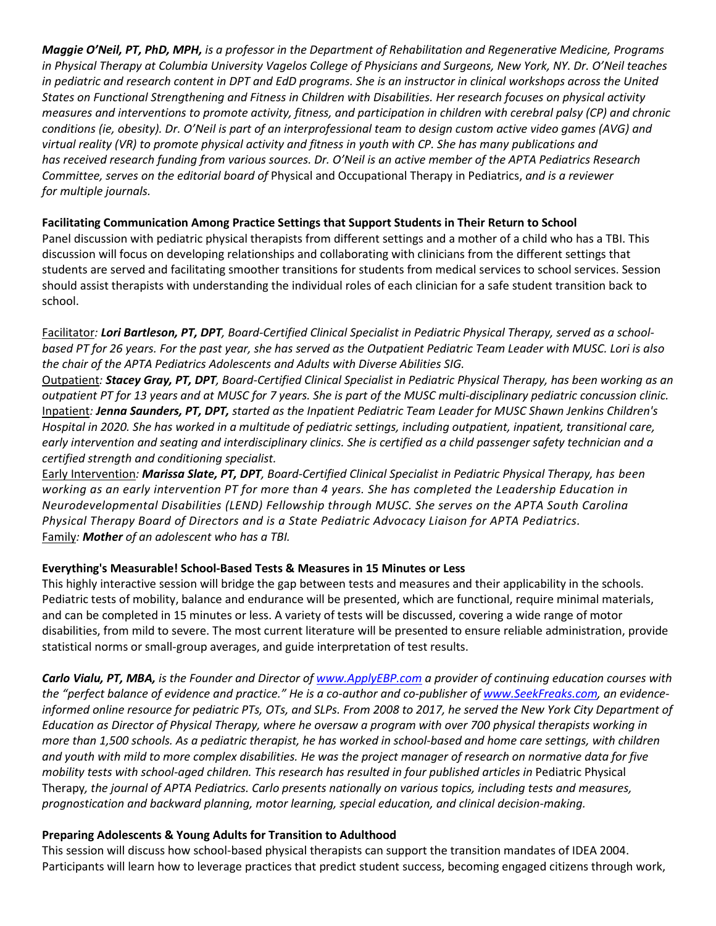*Maggie O'Neil, PT, PhD, MPH, is a professor in the Department of Rehabilitation and Regenerative Medicine, Programs* in Physical Therapy at Columbia University Vagelos College of Physicians and Surgeons, New York, NY. Dr. O'Neil teaches in pediatric and research content in DPT and EdD programs. She is an instructor in clinical workshops across the United States on Functional Strengthening and Fitness in Children with Disabilities. Her research focuses on physical activity measures and interventions to promote activity, fitness, and participation in children with cerebral palsy (CP) and chronic conditions (ie, obesity). Dr. O'Neil is part of an interprofessional team to design custom active video games (AVG) and virtual reality (VR) to promote physical activity and fitness in youth with CP. She has many publications and has received research funding from various sources. Dr. O'Neil is an active member of the APTA Pediatrics Research *Committee, serves on the editorial board of* Physical and Occupational Therapy in Pediatrics, *and is a reviewer for multiple journals.* 

#### **Facilitating Communication Among Practice Settings that Support Students in Their Return to School**

Panel discussion with pediatric physical therapists from different settings and a mother of a child who has a TBI. This discussion will focus on developing relationships and collaborating with clinicians from the different settings that students are served and facilitating smoother transitions for students from medical services to school services. Session should assist therapists with understanding the individual roles of each clinician for a safe student transition back to school.

Facilitator*: Lori Bartleson, PT, DPT, Board-Certified Clinical Specialist in Pediatric Physical Therapy, served as a schoolbased PT for 26 years. For the past year, she has served as the Outpatient Pediatric Team Leader with MUSC. Lori is also the chair of the APTA Pediatrics Adolescents and Adults with Diverse Abilities SIG.*

Outpatient*: Stacey Gray, PT, DPT, Board-Certified Clinical Specialist in Pediatric Physical Therapy, has been working as an outpatient PT for 13 years and at MUSC for 7 years. She is part of the MUSC multi-disciplinary pediatric concussion clinic.* Inpatient*: Jenna Saunders, PT, DPT, started as the Inpatient Pediatric Team Leader for MUSC Shawn Jenkins Children's Hospital in 2020. She has worked in a multitude of pediatric settings, including outpatient, inpatient, transitional care, early intervention and seating and interdisciplinary clinics. She is certified as a child passenger safety technician and a certified strength and conditioning specialist.*

Early Intervention*: Marissa Slate, PT, DPT, Board-Certified Clinical Specialist in Pediatric Physical Therapy, has been working as an early intervention PT for more than 4 years. She has completed the Leadership Education in Neurodevelopmental Disabilities (LEND) Fellowship through MUSC. She serves on the APTA South Carolina Physical Therapy Board of Directors and is a State Pediatric Advocacy Liaison for APTA Pediatrics.*  Family*: Mother of an adolescent who has a TBI.*

## **Everything's Measurable! School-Based Tests & Measures in 15 Minutes or Less**

This highly interactive session will bridge the gap between tests and measures and their applicability in the schools. Pediatric tests of mobility, balance and endurance will be presented, which are functional, require minimal materials, and can be completed in 15 minutes or less. A variety of tests will be discussed, covering a wide range of motor disabilities, from mild to severe. The most current literature will be presented to ensure reliable administration, provide statistical norms or small-group averages, and guide interpretation of test results.

*Carlo Vialu, PT, MBA, is the Founder and Director o[f www.ApplyEBP.com](http://www.applyebp.com/) a provider of continuing education courses with the "perfect balance of evidence and practice." He is a co-author and co-publisher o[f www.SeekFreaks.com,](http://www.seekfreaks.com/) an evidenceinformed online resource for pediatric PTs, OTs, and SLPs. From 2008 to 2017, he served the New York City Department of Education as Director of Physical Therapy, where he oversaw a program with over 700 physical therapists working in more than 1,500 schools. As a pediatric therapist, he has worked in school-based and home care settings, with children and youth with mild to more complex disabilities. He was the project manager of research on normative data for five mobility tests with school-aged children. This research has resulted in four published articles in Pediatric Physical* Therapy*, the journal of APTA Pediatrics. Carlo presents nationally on various topics, including tests and measures, prognostication and backward planning, motor learning, special education, and clinical decision-making.*

#### **Preparing Adolescents & Young Adults for Transition to Adulthood**

This session will discuss how school-based physical therapists can support the transition mandates of IDEA 2004. Participants will learn how to leverage practices that predict student success, becoming engaged citizens through work,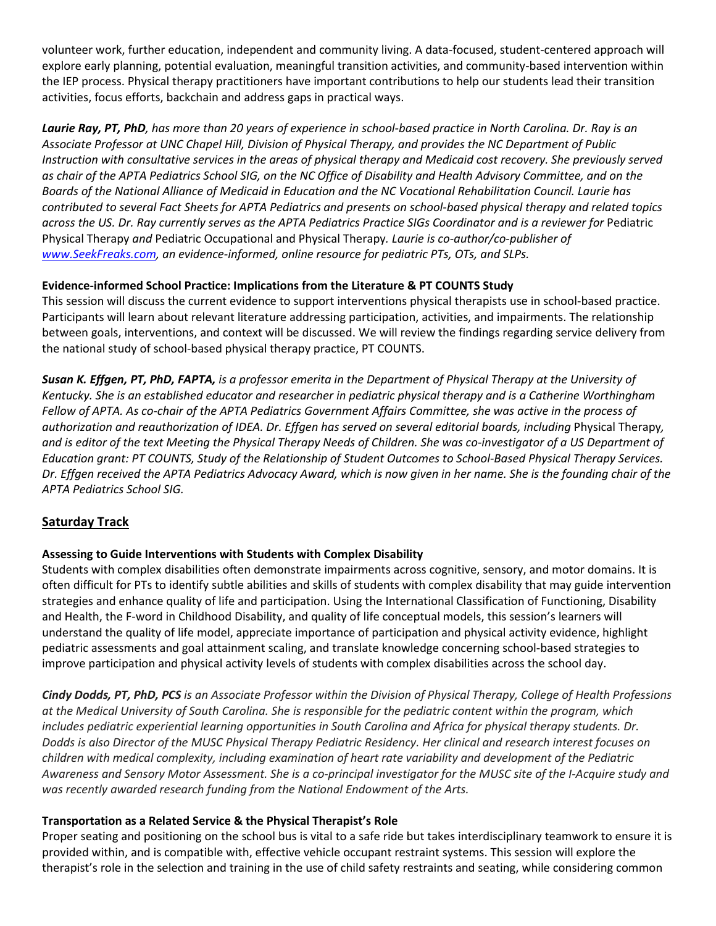volunteer work, further education, independent and community living. A data-focused, student-centered approach will explore early planning, potential evaluation, meaningful transition activities, and community-based intervention within the IEP process. Physical therapy practitioners have important contributions to help our students lead their transition activities, focus efforts, backchain and address gaps in practical ways.

*Laurie Ray, PT, PhD, has more than 20 years of experience in school-based practice in North Carolina. Dr. Ray is an Associate Professor at UNC Chapel Hill, Division of Physical Therapy, and provides the NC Department of Public Instruction with consultative services in the areas of physical therapy and Medicaid cost recovery. She previously served as chair of the APTA Pediatrics School SIG, on the NC Office of Disability and Health Advisory Committee, and on the Boards of the National Alliance of Medicaid in Education and the NC Vocational Rehabilitation Council. Laurie has contributed to several Fact Sheets for APTA Pediatrics and presents on school-based physical therapy and related topics*  across the US. Dr. Ray currently serves as the APTA Pediatrics Practice SIGs Coordinator and is a reviewer for Pediatric Physical Therapy *and* Pediatric Occupational and Physical Therapy*. Laurie is co-author/co-publisher of [www.SeekFreaks.com,](http://www.seekfreaks.com/) an evidence-informed, online resource for pediatric PTs, OTs, and SLPs.*

## **Evidence-informed School Practice: Implications from the Literature & PT COUNTS Study**

This session will discuss the current evidence to support interventions physical therapists use in school-based practice. Participants will learn about relevant literature addressing participation, activities, and impairments. The relationship between goals, interventions, and context will be discussed. We will review the findings regarding service delivery from the national study of school-based physical therapy practice, PT COUNTS.

*Susan K. Effgen, PT, PhD, FAPTA, is a professor emerita in the Department of Physical Therapy at the University of Kentucky. She is an established educator and researcher in pediatric physical therapy and is a Catherine Worthingham Fellow of APTA. As co-chair of the APTA Pediatrics Government Affairs Committee, she was active in the process of authorization and reauthorization of IDEA. Dr. Effgen has served on several editorial boards, including* Physical Therapy*, and is editor of the text Meeting the Physical Therapy Needs of Children. She was co-investigator of a US Department of Education grant: PT COUNTS, Study of the Relationship of Student Outcomes to School-Based Physical Therapy Services. Dr. Effgen received the APTA Pediatrics Advocacy Award, which is now given in her name. She is the founding chair of the APTA Pediatrics School SIG.*

## **Saturday Track**

## **Assessing to Guide Interventions with Students with Complex Disability**

Students with complex disabilities often demonstrate impairments across cognitive, sensory, and motor domains. It is often difficult for PTs to identify subtle abilities and skills of students with complex disability that may guide intervention strategies and enhance quality of life and participation. Using the International Classification of Functioning, Disability and Health, the F-word in Childhood Disability, and quality of life conceptual models, this session's learners will understand the quality of life model, appreciate importance of participation and physical activity evidence, highlight pediatric assessments and goal attainment scaling, and translate knowledge concerning school-based strategies to improve participation and physical activity levels of students with complex disabilities across the school day.

*Cindy Dodds, PT, PhD, PCS is an Associate Professor within the Division of Physical Therapy, College of Health Professions at the Medical University of South Carolina. She is responsible for the pediatric content within the program, which includes pediatric experiential learning opportunities in South Carolina and Africa for physical therapy students. Dr. Dodds is also Director of the MUSC Physical Therapy Pediatric Residency. Her clinical and research interest focuses on children with medical complexity, including examination of heart rate variability and development of the Pediatric Awareness and Sensory Motor Assessment. She is a co-principal investigator for the MUSC site of the I-Acquire study and was recently awarded research funding from the National Endowment of the Arts.*

## **Transportation as a Related Service & the Physical Therapist's Role**

Proper seating and positioning on the school bus is vital to a safe ride but takes interdisciplinary teamwork to ensure it is provided within, and is compatible with, effective vehicle occupant restraint systems. This session will explore the therapist's role in the selection and training in the use of child safety restraints and seating, while considering common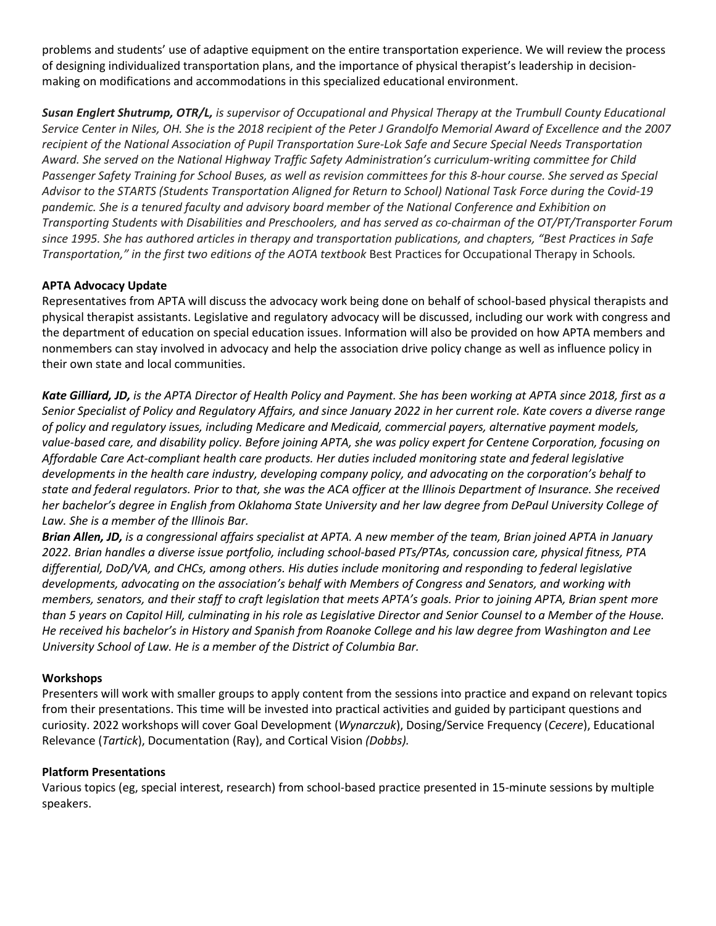problems and students' use of adaptive equipment on the entire transportation experience. We will review the process of designing individualized transportation plans, and the importance of physical therapist's leadership in decisionmaking on modifications and accommodations in this specialized educational environment.

*Susan Englert Shutrump, OTR/L, is supervisor of Occupational and Physical Therapy at the Trumbull County Educational Service Center in Niles, OH. She is the 2018 recipient of the Peter J Grandolfo Memorial Award of Excellence and the 2007 recipient of the National Association of Pupil Transportation Sure-Lok Safe and Secure Special Needs Transportation Award. She served on the National Highway Traffic Safety Administration's curriculum-writing committee for Child Passenger Safety Training for School Buses, as well as revision committees for this 8-hour course. She served as Special Advisor to the STARTS (Students Transportation Aligned for Return to School) National Task Force during the Covid-19 pandemic. She is a tenured faculty and advisory board member of the National Conference and Exhibition on Transporting Students with Disabilities and Preschoolers, and has served as co-chairman of the OT/PT/Transporter Forum since 1995. She has authored articles in therapy and transportation publications, and chapters, "Best Practices in Safe Transportation," in the first two editions of the AOTA textbook* Best Practices for Occupational Therapy in Schools*.* 

## **APTA Advocacy Update**

Representatives from APTA will discuss the advocacy work being done on behalf of school-based physical therapists and physical therapist assistants. Legislative and regulatory advocacy will be discussed, including our work with congress and the department of education on special education issues. Information will also be provided on how APTA members and nonmembers can stay involved in advocacy and help the association drive policy change as well as influence policy in their own state and local communities.

*Kate Gilliard, JD, is the APTA Director of Health Policy and Payment. She has been working at APTA since 2018, first as a Senior Specialist of Policy and Regulatory Affairs, and since January 2022 in her current role. Kate covers a diverse range of policy and regulatory issues, including Medicare and Medicaid, commercial payers, alternative payment models, value-based care, and disability policy. Before joining APTA, she was policy expert for Centene Corporation, focusing on Affordable Care Act-compliant health care products. Her duties included monitoring state and federal legislative developments in the health care industry, developing company policy, and advocating on the corporation's behalf to state and federal regulators. Prior to that, she was the ACA officer at the Illinois Department of Insurance. She received her bachelor's degree in English from Oklahoma State University and her law degree from DePaul University College of Law. She is a member of the Illinois Bar.*

*Brian Allen, JD, is a congressional affairs specialist at APTA. A new member of the team, Brian joined APTA in January 2022. Brian handles a diverse issue portfolio, including school-based PTs/PTAs, concussion care, physical fitness, PTA differential, DoD/VA, and CHCs, among others. His duties include monitoring and responding to federal legislative developments, advocating on the association's behalf with Members of Congress and Senators, and working with members, senators, and their staff to craft legislation that meets APTA's goals. Prior to joining APTA, Brian spent more than 5 years on Capitol Hill, culminating in his role as Legislative Director and Senior Counsel to a Member of the House. He received his bachelor's in History and Spanish from Roanoke College and his law degree from Washington and Lee University School of Law. He is a member of the District of Columbia Bar.*

#### **Workshops**

Presenters will work with smaller groups to apply content from the sessions into practice and expand on relevant topics from their presentations. This time will be invested into practical activities and guided by participant questions and curiosity. 2022 workshops will cover Goal Development (*Wynarczuk*), Dosing/Service Frequency (*Cecere*), Educational Relevance (*Tartick*), Documentation (Ray), and Cortical Vision *(Dobbs).* 

#### **Platform Presentations**

Various topics (eg, special interest, research) from school-based practice presented in 15-minute sessions by multiple speakers.